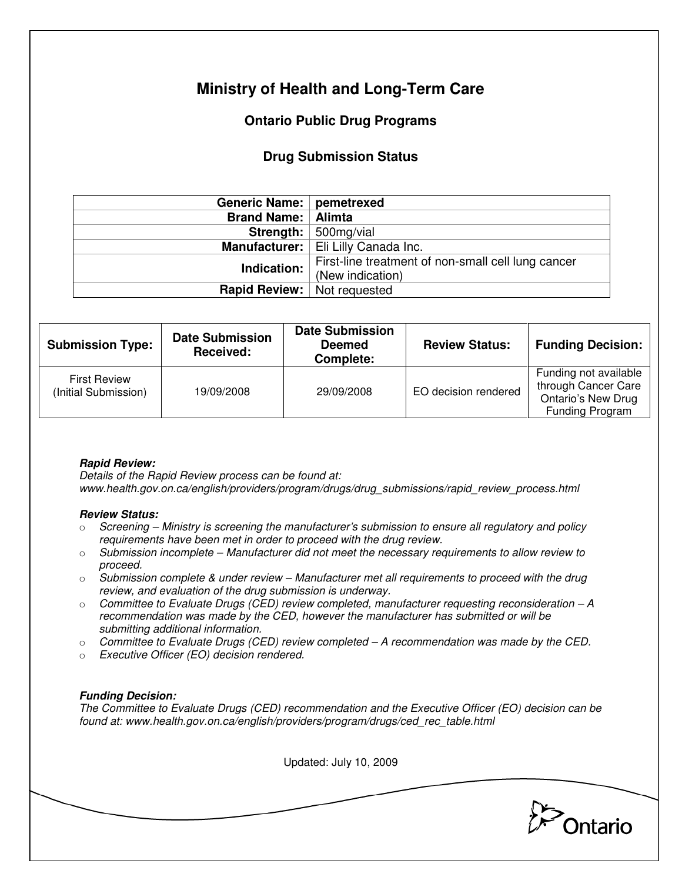# **Ministry of Health and Long-Term Care**

## **Ontario Public Drug Programs**

### **Drug Submission Status**

| Generic Name:   pemetrexed  |                                                                              |  |  |
|-----------------------------|------------------------------------------------------------------------------|--|--|
| <b>Brand Name:   Alimta</b> |                                                                              |  |  |
|                             | <b>Strength:</b> $\vert$ 500mg/vial<br>Manufacturer:   Eli Lilly Canada Inc. |  |  |
|                             |                                                                              |  |  |
| Indication:                 | First-line treatment of non-small cell lung cancer                           |  |  |
|                             | (New indication)                                                             |  |  |
| <b>Rapid Review:</b>        | Not requested                                                                |  |  |

| <b>Submission Type:</b>                     | <b>Date Submission</b><br><b>Received:</b> | <b>Date Submission</b><br><b>Deemed</b><br>Complete: | <b>Review Status:</b> | <b>Funding Decision:</b>                                                                     |
|---------------------------------------------|--------------------------------------------|------------------------------------------------------|-----------------------|----------------------------------------------------------------------------------------------|
| <b>First Review</b><br>(Initial Submission) | 19/09/2008                                 | 29/09/2008                                           | EO decision rendered  | Funding not available<br>through Cancer Care<br><b>Ontario's New Drug</b><br>Funding Program |

#### **Rapid Review:**

Details of the Rapid Review process can be found at: www.health.gov.on.ca/english/providers/program/drugs/drug\_submissions/rapid\_review\_process.html

#### **Review Status:**

- $\circ$  Screening Ministry is screening the manufacturer's submission to ensure all regulatory and policy requirements have been met in order to proceed with the drug review.
- $\circ$  Submission incomplete Manufacturer did not meet the necessary requirements to allow review to proceed.
- $\circ$  Submission complete & under review Manufacturer met all requirements to proceed with the drug review, and evaluation of the drug submission is underway.
- $\circ$  Committee to Evaluate Drugs (CED) review completed, manufacturer requesting reconsideration  $-A$ recommendation was made by the CED, however the manufacturer has submitted or will be submitting additional information.
- $\circ$  Committee to Evaluate Drugs (CED) review completed A recommendation was made by the CED.
- o Executive Officer (EO) decision rendered.

#### **Funding Decision:**

The Committee to Evaluate Drugs (CED) recommendation and the Executive Officer (EO) decision can be found at: www.health.gov.on.ca/english/providers/program/drugs/ced\_rec\_table.html

Updated: July 10, 2009 Ontario